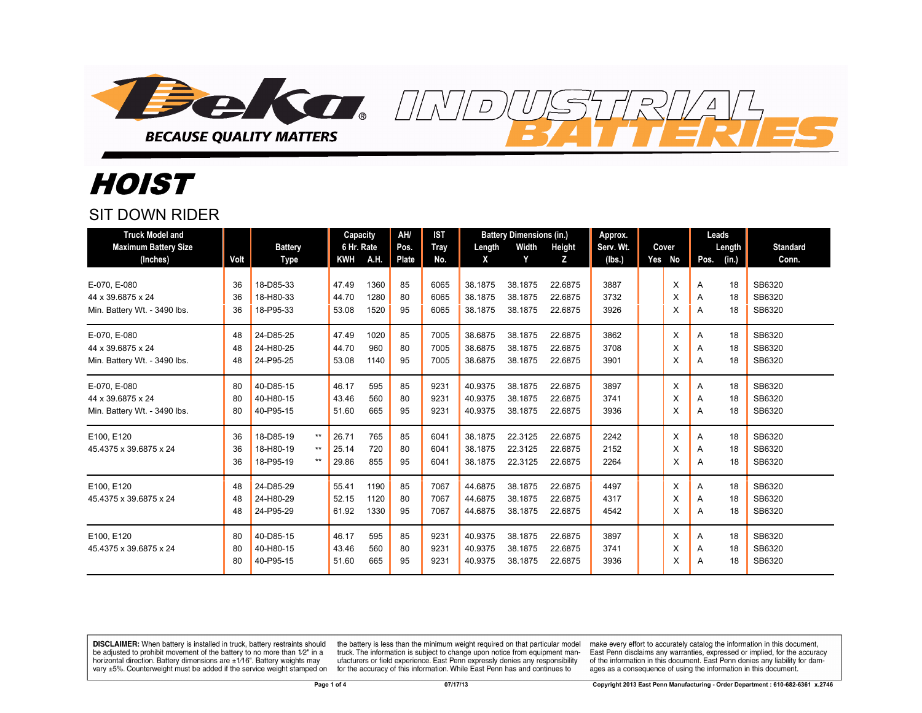

# HOIST

SIT DOWN RIDER

| <b>Truck Model and</b>       |      |                |       | Capacity   |      | AH/   | <b>IST</b>  |         | <b>Battery Dimensions (in.)</b> | Approx. |           |  | Leads  |               |                 |
|------------------------------|------|----------------|-------|------------|------|-------|-------------|---------|---------------------------------|---------|-----------|--|--------|---------------|-----------------|
| <b>Maximum Battery Size</b>  |      | <b>Battery</b> |       | 6 Hr. Rate |      | Pos.  | <b>Tray</b> | Length  | Width                           | Height  | Serv. Wt. |  | Cover  | Length        | <b>Standard</b> |
| (Inches)                     | Volt | Type           |       | KWH        | A.H. | Plate | No.         | X       | Y                               | z       | (lbs.)    |  | Yes No | Pos.<br>(in.) | Conn.           |
| E-070, E-080                 | 36   | 18-D85-33      |       | 47.49      | 1360 | 85    | 6065        | 38.1875 | 38.1875                         | 22.6875 | 3887      |  | X      | 18<br>A       | SB6320          |
| 44 x 39.6875 x 24            | 36   | 18-H80-33      |       | 44.70      | 1280 | 80    | 6065        | 38.1875 | 38.1875                         | 22.6875 | 3732      |  | X      | 18<br>A       | SB6320          |
| Min. Battery Wt. - 3490 lbs. | 36   | 18-P95-33      |       | 53.08      | 1520 | 95    | 6065        | 38.1875 | 38.1875                         | 22.6875 | 3926      |  | X      | 18<br>A       | SB6320          |
| E-070, E-080                 | 48   | 24-D85-25      |       | 47.49      | 1020 | 85    | 7005        | 38.6875 | 38.1875                         | 22.6875 | 3862      |  | X      | 18<br>Α       | SB6320          |
| 44 x 39.6875 x 24            | 48   | 24-H80-25      |       | 44.70      | 960  | 80    | 7005        | 38.6875 | 38.1875                         | 22.6875 | 3708      |  | X      | 18<br>A       | SB6320          |
| Min. Battery Wt. - 3490 lbs. | 48   | 24-P95-25      |       | 53.08      | 1140 | 95    | 7005        | 38.6875 | 38.1875                         | 22.6875 | 3901      |  | X      | 18<br>A       | SB6320          |
| E-070, E-080                 | 80   | 40-D85-15      |       | 46.17      | 595  | 85    | 9231        | 40.9375 | 38.1875                         | 22.6875 | 3897      |  | X      | 18<br>Α       | SB6320          |
| 44 x 39.6875 x 24            | 80   | 40-H80-15      |       | 43.46      | 560  | 80    | 9231        | 40.9375 | 38.1875                         | 22.6875 | 3741      |  | X      | 18<br>A       | SB6320          |
| Min. Battery Wt. - 3490 lbs. | 80   | 40-P95-15      |       | 51.60      | 665  | 95    | 9231        | 40.9375 | 38.1875                         | 22.6875 | 3936      |  | X      | 18<br>A       | SB6320          |
| E100, E120                   | 36   | 18-D85-19      | $***$ | 26.71      | 765  | 85    | 6041        | 38.1875 | 22.3125                         | 22.6875 | 2242      |  | X      | 18<br>A       | SB6320          |
| 45.4375 x 39.6875 x 24       | 36   | 18-H80-19      | $***$ | 25.14      | 720  | 80    | 6041        | 38.1875 | 22.3125                         | 22.6875 | 2152      |  | X      | 18<br>A       | SB6320          |
|                              | 36   | 18-P95-19      | $***$ | 29.86      | 855  | 95    | 6041        | 38.1875 | 22.3125                         | 22.6875 | 2264      |  | х      | 18<br>A       | SB6320          |
| E100, E120                   | 48   | 24-D85-29      |       | 55.41      | 1190 | 85    | 7067        | 44.6875 | 38.1875                         | 22.6875 | 4497      |  | X      | 18<br>Α       | SB6320          |
| 45.4375 x 39.6875 x 24       | 48   | 24-H80-29      |       | 52.15      | 1120 | 80    | 7067        | 44.6875 | 38.1875                         | 22.6875 | 4317      |  | X      | 18<br>A       | SB6320          |
|                              | 48   | 24-P95-29      |       | 61.92      | 1330 | 95    | 7067        | 44.6875 | 38.1875                         | 22.6875 | 4542      |  | X      | 18<br>A       | SB6320          |
| E100, E120                   | 80   | 40-D85-15      |       | 46.17      | 595  | 85    | 9231        | 40.9375 | 38.1875                         | 22.6875 | 3897      |  | X      | 18<br>A       | SB6320          |
| 45.4375 x 39.6875 x 24       | 80   | 40-H80-15      |       | 43.46      | 560  | 80    | 9231        | 40.9375 | 38.1875                         | 22.6875 | 3741      |  | X      | 18<br>A       | SB6320          |
|                              | 80   | 40-P95-15      |       | 51.60      | 665  | 95    | 9231        | 40.9375 | 38.1875                         | 22.6875 | 3936      |  | X      | 18<br>A       | SB6320          |

 $\overline{D}$ 

**DISCLAIMER:** When battery is installed in truck, battery restraints should be adjusted to prohibit movement of the battery to no more than 1/2" in a horizontal direction. Battery dimensions are  $\pm 1/16$ ". Battery weights may vary ±5%. Counterweight must be added if the service weight stamped on

the battery is less than the minimum weight required on that particular model<br>truck. The information is subject to change upon notice from equipment manufacturers or field experience. East Penn expressly denies any responsibility for the accuracy of this information. While East Penn has and continues to

make every effort to accurately catalog the information in this document, East Penn disclaims any warranties, expressed or implied, for the accuracy of the information in this document. East Penn denies any liability for damages as a consequence of using the information in this document.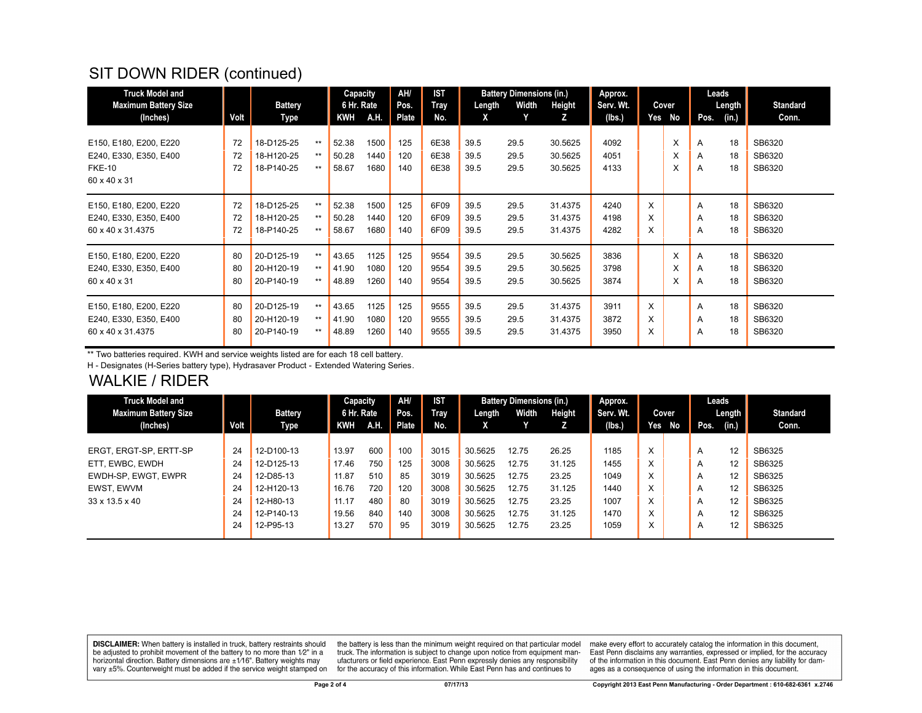## SIT DOWN RIDER (continued)

| <b>Truck Model and</b>      |      |                |       | Capacity   |      | AH/   | <b>IST</b>         |        | <b>Battery Dimensions (in.)</b> |         | Approx.   |     |       |      | Leads  |                 |
|-----------------------------|------|----------------|-------|------------|------|-------|--------------------|--------|---------------------------------|---------|-----------|-----|-------|------|--------|-----------------|
| <b>Maximum Battery Size</b> | Volt | <b>Battery</b> |       | 6 Hr. Rate |      | Pos.  | <b>Tray</b><br>No. | Length | Width                           | Height  | Serv. Wt. |     | Cover |      | Length | <b>Standard</b> |
| (Inches)                    |      | Type           |       | KWH        | A.H. | Plate |                    | X.     |                                 | z.      | (lbs.)    | Yes | No    | Pos. | (in.)  | Conn.           |
| E150, E180, E200, E220      | 72   | 18-D125-25     | $***$ | 52.38      | 1500 | 125   | 6E38               | 39.5   | 29.5                            | 30.5625 | 4092      |     | X     | A    | 18     | SB6320          |
| E240, E330, E350, E400      | 72   | 18-H120-25     | $***$ | 50.28      | 1440 | 120   | 6E38               | 39.5   | 29.5                            | 30.5625 | 4051      |     | X     | A    | 18     | SB6320          |
| <b>FKE-10</b>               | 72   | 18-P140-25     | $***$ | 58.67      | 1680 | 140   | 6E38               | 39.5   | 29.5                            | 30.5625 | 4133      |     | X     | A    | 18     | SB6320          |
| 60 x 40 x 31                |      |                |       |            |      |       |                    |        |                                 |         |           |     |       |      |        |                 |
| E150, E180, E200, E220      | 72   | 18-D125-25     | $***$ | 52.38      | 1500 | 125   | 6F09               | 39.5   | 29.5                            | 31.4375 | 4240      | X   |       | A    | 18     | SB6320          |
| E240, E330, E350, E400      | 72   | 18-H120-25     | $***$ | 50.28      | 1440 | 120   | 6F09               | 39.5   | 29.5                            | 31.4375 | 4198      | X   |       | A    | 18     | SB6320          |
| 60 x 40 x 31.4375           | 72   | 18-P140-25     | $***$ | 58.67      | 1680 | 140   | 6F09               | 39.5   | 29.5                            | 31.4375 | 4282      | X   |       | A    | 18     | SB6320          |
| E150, E180, E200, E220      | 80   | 20-D125-19     | $***$ | 43.65      | 1125 | 125   | 9554               | 39.5   | 29.5                            | 30.5625 | 3836      |     | X     | A    | 18     | SB6320          |
| E240, E330, E350, E400      | 80   | 20-H120-19     | $***$ | 41.90      | 1080 | 120   | 9554               | 39.5   | 29.5                            | 30.5625 | 3798      |     | X     | A    | 18     | SB6320          |
| 60 x 40 x 31                | 80   | 20-P140-19     | $**$  | 48.89      | 1260 | 140   | 9554               | 39.5   | 29.5                            | 30.5625 | 3874      |     | X     | A    | 18     | SB6320          |
| E150, E180, E200, E220      | 80   | 20-D125-19     | $***$ | 43.65      | 1125 | 125   | 9555               | 39.5   | 29.5                            | 31.4375 | 3911      | X   |       | A    | 18     | SB6320          |
| E240, E330, E350, E400      | 80   | 20-H120-19     | $***$ | 41.90      | 1080 | 120   | 9555               | 39.5   | 29.5                            | 31.4375 | 3872      | X   |       | A    | 18     | SB6320          |
| 60 x 40 x 31.4375           | 80   | 20-P140-19     | $***$ | 48.89      | 1260 | 140   | 9555               | 39.5   | 29.5                            | 31.4375 | 3950      | X   |       | A    | 18     | SB6320          |

\*\* Two batteries required. KWH and service weights listed are for each 18 cell battery.

H - Designates (H-Series battery type), Hydrasaver Product - Extended Watering Series.

#### WALKIE / RIDER

| <b>Truck Model and</b>      |      |                | Capacity   |      | AH/          | <b>IST</b>  |         | <b>Battery Dimensions (in.)</b> |        | Approx.   |     |       | Leads |        |                 |
|-----------------------------|------|----------------|------------|------|--------------|-------------|---------|---------------------------------|--------|-----------|-----|-------|-------|--------|-----------------|
| <b>Maximum Battery Size</b> |      | <b>Battery</b> | 6 Hr. Rate |      | Pos.         | <b>Tray</b> | Length  | Width                           | Height | Serv. Wt. |     | Cover |       | Length | <b>Standard</b> |
| (Inches)                    | Volt | Type           | KWH        | A.H. | <b>Plate</b> | No.         | X.      |                                 |        | (Ibs.)    | Yes | No    | Pos.  | (in.)  | Conn.           |
|                             |      |                |            |      |              |             |         |                                 |        |           |     |       |       |        |                 |
| ERGT, ERGT-SP, ERTT-SP      | 24   | 12-D100-13     | 13.97      | 600  | 100          | 3015        | 30.5625 | 12.75                           | 26.25  | 1185      | X   |       | A     | 12     | SB6325          |
| ETT, EWBC, EWDH             | 24   | 12-D125-13     | 17.46      | 750  | 125          | 3008        | 30.5625 | 12.75                           | 31.125 | 1455      | X   |       | A     | 12     | SB6325          |
| EWDH-SP. EWGT. EWPR         | 24   | 12-D85-13      | 11.87      | 510  | 85           | 3019        | 30.5625 | 12.75                           | 23.25  | 1049      | X   |       | A     | 12     | SB6325          |
| EWST, EWVM                  | 24   | 12-H120-13     | 16.76      | 720  | 120          | 3008        | 30.5625 | 12.75                           | 31.125 | 1440      | X   |       | A     | 12     | SB6325          |
| 33 x 13.5 x 40              | 24   | 12-H80-13      | 11.17      | 480  | 80           | 3019        | 30.5625 | 12.75                           | 23.25  | 1007      | X   |       | A     | 12     | SB6325          |
|                             | 24   | 12-P140-13     | 19.56      | 840  | 140          | 3008        | 30.5625 | 12.75                           | 31.125 | 1470      | X   |       | A     | 12     | SB6325          |
|                             | 24   | 12-P95-13      | 13.27      | 570  | 95           | 3019        | 30.5625 | 12.75                           | 23.25  | 1059      | X   |       | A     | 12     | SB6325          |
|                             |      |                |            |      |              |             |         |                                 |        |           |     |       |       |        |                 |

**DISCLAIMER:** When battery is installed in truck, battery restraints should be adjusted to prohibit movement of the battery to no more than  $12^v$  in a horizontal direction. Battery dimensions are  $\pm 1/16^v$ . Battery wei

the battery is less than the minimum weight required on that particular model<br>truck. The information is subject to change upon notice from equipment manutacturers or field experience. East Penn expressly denies any responsibility for the accuracy of this information. While East Penn has and continues to

make every effort to accurately catalog the information in this document,<br>East Penn disclaims any warranties, expressed or implied, for the accuracy of the information in this document. East Penn denies any liability for damages as a consequence of using the information in this document.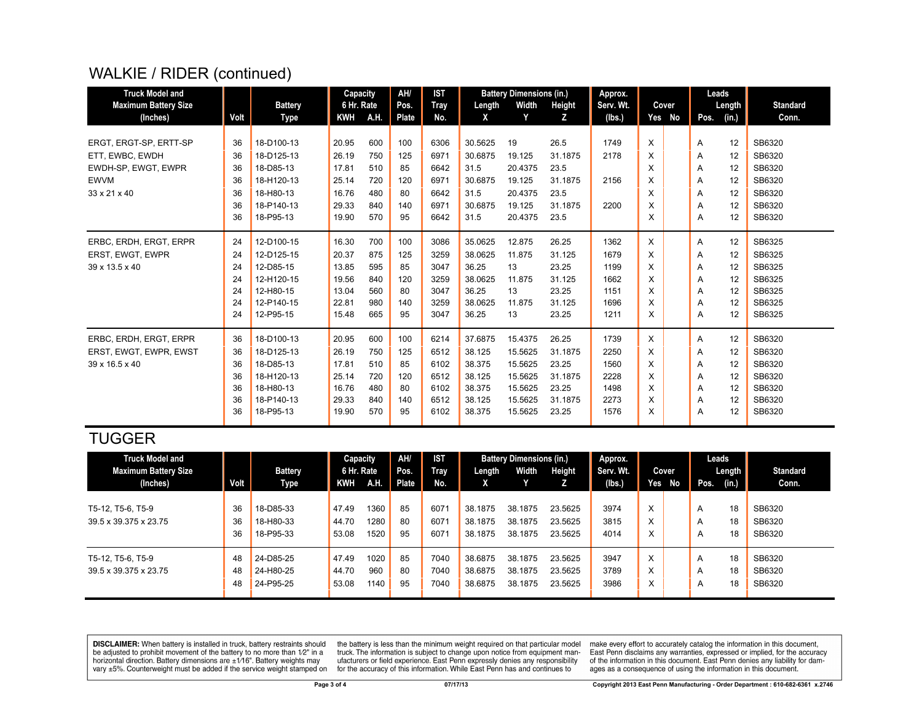## WALKIE / RIDER (continued)

| <b>Truck Model and</b>      |      |                | Capacity   |      | AH/          | <b>IST</b>  |         | <b>Battery Dimensions (in.)</b> |         | Approx.   |   |        | Leads |        |                 |
|-----------------------------|------|----------------|------------|------|--------------|-------------|---------|---------------------------------|---------|-----------|---|--------|-------|--------|-----------------|
| <b>Maximum Battery Size</b> |      | <b>Battery</b> | 6 Hr. Rate |      | Pos.         | <b>Tray</b> | Length  | Width                           | Height  | Serv. Wt. |   | Cover  |       | Length | <b>Standard</b> |
| (Inches)                    | Volt | Type           | KWH        | A.H. | <b>Plate</b> | No.         | X       | Y                               | Z       | (lbs.)    |   | Yes No | Pos.  | (in.)  | Conn.           |
|                             |      |                |            |      |              |             |         |                                 |         |           |   |        |       |        |                 |
| ERGT, ERGT-SP, ERTT-SP      | 36   | 18-D100-13     | 20.95      | 600  | 100          | 6306        | 30.5625 | 19                              | 26.5    | 1749      | X |        | A     | 12     | SB6320          |
| ETT, EWBC, EWDH             | 36   | 18-D125-13     | 26.19      | 750  | 125          | 6971        | 30.6875 | 19.125                          | 31.1875 | 2178      | X |        | A     | 12     | SB6320          |
| EWDH-SP, EWGT, EWPR         | 36   | 18-D85-13      | 17.81      | 510  | 85           | 6642        | 31.5    | 20.4375                         | 23.5    |           | X |        | Α     | 12     | SB6320          |
| <b>EWVM</b>                 | 36   | 18-H120-13     | 25.14      | 720  | 120          | 6971        | 30.6875 | 19.125                          | 31.1875 | 2156      | X |        | A     | 12     | SB6320          |
| 33 x 21 x 40                | 36   | 18-H80-13      | 16.76      | 480  | 80           | 6642        | 31.5    | 20.4375                         | 23.5    |           | X |        | A     | 12     | SB6320          |
|                             | 36   | 18-P140-13     | 29.33      | 840  | 140          | 6971        | 30.6875 | 19.125                          | 31.1875 | 2200      | X |        | A     | 12     | SB6320          |
|                             | 36   | 18-P95-13      | 19.90      | 570  | 95           | 6642        | 31.5    | 20.4375                         | 23.5    |           | X |        | A     | 12     | SB6320          |
| ERBC, ERDH, ERGT, ERPR      | 24   | 12-D100-15     | 16.30      | 700  | 100          | 3086        | 35.0625 | 12.875                          | 26.25   | 1362      | X |        | A     | 12     | SB6325          |
| ERST, EWGT, EWPR            | 24   | 12-D125-15     | 20.37      | 875  | 125          | 3259        | 38.0625 | 11.875                          | 31.125  | 1679      | X |        | A     | 12     | SB6325          |
| 39 x 13.5 x 40              | 24   | 12-D85-15      | 13.85      | 595  | 85           | 3047        | 36.25   | 13                              | 23.25   | 1199      | X |        | A     | 12     | SB6325          |
|                             | 24   | 12-H120-15     | 19.56      | 840  | 120          | 3259        | 38.0625 | 11.875                          | 31.125  | 1662      | X |        | A     | 12     | SB6325          |
|                             | 24   | 12-H80-15      | 13.04      | 560  | 80           | 3047        | 36.25   | 13                              | 23.25   | 1151      | X |        | A     | 12     | SB6325          |
|                             | 24   | 12-P140-15     | 22.81      | 980  | 140          | 3259        | 38.0625 | 11.875                          | 31.125  | 1696      | X |        | A     | 12     | SB6325          |
|                             | 24   | 12-P95-15      | 15.48      | 665  | 95           | 3047        | 36.25   | 13                              | 23.25   | 1211      | X |        | A     | 12     | SB6325          |
| ERBC, ERDH, ERGT, ERPR      | 36   | 18-D100-13     | 20.95      | 600  | 100          | 6214        | 37.6875 | 15.4375                         | 26.25   | 1739      | X |        | A     | 12     | SB6320          |
| ERST, EWGT, EWPR, EWST      | 36   | 18-D125-13     | 26.19      | 750  | 125          | 6512        | 38.125  | 15.5625                         | 31.1875 | 2250      | X |        | A     | 12     | SB6320          |
| 39 x 16.5 x 40              | 36   | 18-D85-13      | 17.81      | 510  | 85           | 6102        | 38.375  | 15.5625                         | 23.25   | 1560      | X |        | A     | 12     | SB6320          |
|                             | 36   | 18-H120-13     | 25.14      | 720  | 120          | 6512        | 38.125  | 15.5625                         | 31.1875 | 2228      | X |        | A     | 12     | SB6320          |
|                             | 36   | 18-H80-13      | 16.76      | 480  | 80           | 6102        | 38.375  | 15.5625                         | 23.25   | 1498      | X |        | A     | 12     | SB6320          |
|                             | 36   | 18-P140-13     | 29.33      | 840  | 140          | 6512        | 38.125  | 15.5625                         | 31.1875 | 2273      | X |        | A     | 12     | SB6320          |
|                             | 36   | 18-P95-13      | 19.90      | 570  | 95           | 6102        | 38.375  | 15.5625                         | 23.25   | 1576      | X |        | A     | 12     | SB6320          |

### TUGGER

| <b>Truck Model and</b>      |      |                | Capacity   |             | AH/   | <b>IST</b> |         | <b>Battery Dimensions (in.)</b> |         | Approx.   |     |       |                | Leads  |                 |
|-----------------------------|------|----------------|------------|-------------|-------|------------|---------|---------------------------------|---------|-----------|-----|-------|----------------|--------|-----------------|
| <b>Maximum Battery Size</b> |      | <b>Battery</b> | 6 Hr. Rate |             | Pos.  | Tray       | Length  | Width                           | Height  | Serv. Wt. |     | Cover |                | Length | <b>Standard</b> |
| (Inches)                    | Volt | Type           | KWH        | <b>A.H.</b> | Plate | No.        | X.      |                                 |         | (lbs.)    | Yes | No    | Pos.           | (in.)  | Conn.           |
|                             |      |                |            |             |       |            |         |                                 |         |           |     |       |                |        |                 |
| T5-12, T5-6, T5-9           | 36   | 18-D85-33      | 47.49      | 1360        | 85    | 6071       | 38.1875 | 38.1875                         | 23.5625 | 3974      | X   |       | A              | 18     | SB6320          |
| 39.5 x 39.375 x 23.75       | 36   | 18-H80-33      | 44.70      | 1280        | 80    | 6071       | 38.1875 | 38.1875                         | 23.5625 | 3815      | X   |       | A              | 18     | SB6320          |
|                             | 36   | 18-P95-33      | 53.08      | 1520        | 95    | 6071       | 38.1875 | 38.1875                         | 23.5625 | 4014      | X   |       | A              | 18     | SB6320          |
| T5-12, T5-6, T5-9           | 48   | 24-D85-25      | 47.49      | 1020        | 85    | 7040       | 38.6875 | 38.1875                         | 23.5625 | 3947      | X   |       | $\overline{A}$ | 18     | SB6320          |
| 39.5 x 39.375 x 23.75       | 48   | 24-H80-25      | 44.70      | 960         | 80    | 7040       | 38.6875 | 38.1875                         | 23.5625 | 3789      | X   |       | $\overline{A}$ | 18     | SB6320          |
|                             | 48   | 24-P95-25      | 53.08      | 1140        | 95    | 7040       | 38.6875 | 38.1875                         | 23.5625 | 3986      | X   |       | A              | 18     | SB6320          |

**DISCLAIMER:** When battery is installed in truck, battery restraints should be adjusted to prohibit movement of the battery to no more than  $12^v$  in a horizontal direction. Battery dimensions are  $\pm 1/16^v$ . Battery wei

the battery is less than the minimum weight required on that particular model<br>truck. The information is subject to change upon notice from equipment man-<br>ufacturers or field experience. East Penn expressly denies any respo

make every effort to accurately catalog the information in this document,<br>East Penn disclaims any warranties, expressed or implied, for the accuracy of the information in this document. East Penn denies any liability for damages as a consequence of using the information in this document.